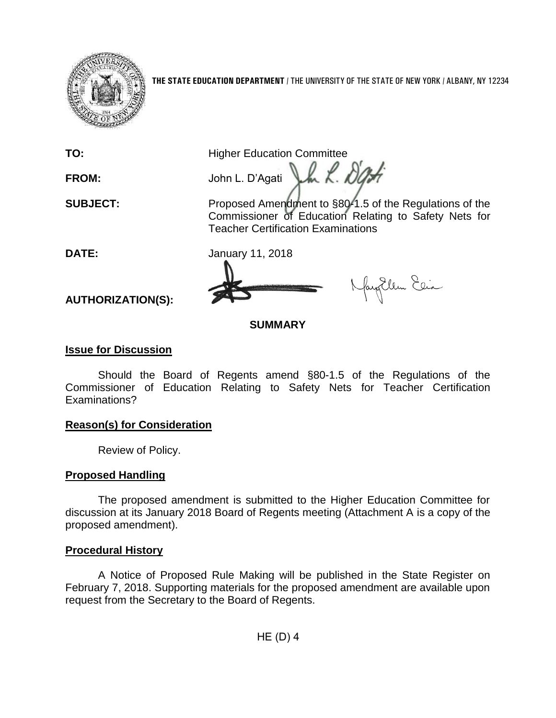

**THE STATE EDUCATION DEPARTMENT** / THE UNIVERSITY OF THE STATE OF NEW YORK / ALBANY, NY 12234

**TO:** Higher Education Committee

**FROM:** John L. D'Agati

Jh L. Dat **SUBJECT:** Proposed Amendment to §80-1.5 of the Regulations of the Commissioner of Education Relating to Safety Nets for Teacher Certification Examinations

fayillen Elia

**DATE:** January 11, 2018

**AUTHORIZATION(S):**

### **SUMMARY**

### **Issue for Discussion**

Should the Board of Regents amend §80-1.5 of the Regulations of the Commissioner of Education Relating to Safety Nets for Teacher Certification Examinations?

# **Reason(s) for Consideration**

Review of Policy.

# **Proposed Handling**

The proposed amendment is submitted to the Higher Education Committee for discussion at its January 2018 Board of Regents meeting (Attachment A is a copy of the proposed amendment).

# **Procedural History**

A Notice of Proposed Rule Making will be published in the State Register on February 7, 2018. Supporting materials for the proposed amendment are available upon request from the Secretary to the Board of Regents.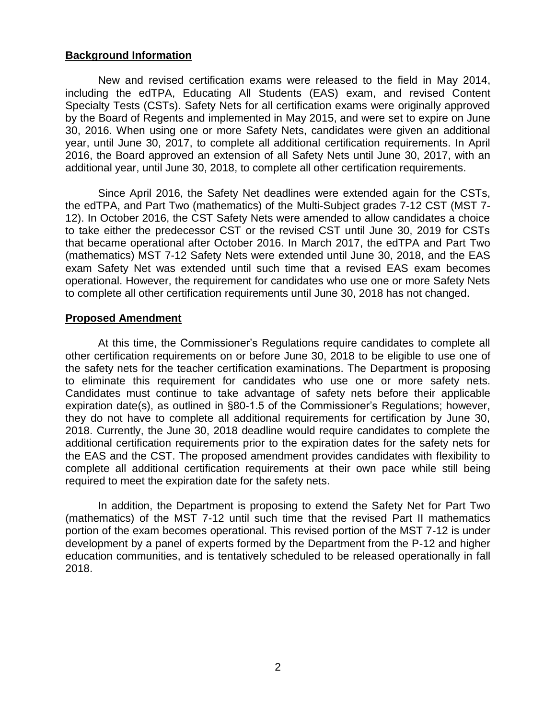#### **Background Information**

New and revised certification exams were released to the field in May 2014, including the edTPA, Educating All Students (EAS) exam, and revised Content Specialty Tests (CSTs). Safety Nets for all certification exams were originally approved by the Board of Regents and implemented in May 2015, and were set to expire on June 30, 2016. When using one or more Safety Nets, candidates were given an additional year, until June 30, 2017, to complete all additional certification requirements. In April 2016, the Board approved an extension of all Safety Nets until June 30, 2017, with an additional year, until June 30, 2018, to complete all other certification requirements.

Since April 2016, the Safety Net deadlines were extended again for the CSTs, the edTPA, and Part Two (mathematics) of the Multi-Subject grades 7-12 CST (MST 7- 12). In October 2016, the CST Safety Nets were amended to allow candidates a choice to take either the predecessor CST or the revised CST until June 30, 2019 for CSTs that became operational after October 2016. In March 2017, the edTPA and Part Two (mathematics) MST 7-12 Safety Nets were extended until June 30, 2018, and the EAS exam Safety Net was extended until such time that a revised EAS exam becomes operational. However, the requirement for candidates who use one or more Safety Nets to complete all other certification requirements until June 30, 2018 has not changed.

#### **Proposed Amendment**

At this time, the Commissioner's Regulations require candidates to complete all other certification requirements on or before June 30, 2018 to be eligible to use one of the safety nets for the teacher certification examinations. The Department is proposing to eliminate this requirement for candidates who use one or more safety nets. Candidates must continue to take advantage of safety nets before their applicable expiration date(s), as outlined in §80-1.5 of the Commissioner's Regulations; however, they do not have to complete all additional requirements for certification by June 30, 2018. Currently, the June 30, 2018 deadline would require candidates to complete the additional certification requirements prior to the expiration dates for the safety nets for the EAS and the CST. The proposed amendment provides candidates with flexibility to complete all additional certification requirements at their own pace while still being required to meet the expiration date for the safety nets.

In addition, the Department is proposing to extend the Safety Net for Part Two (mathematics) of the MST 7-12 until such time that the revised Part II mathematics portion of the exam becomes operational. This revised portion of the MST 7-12 is under development by a panel of experts formed by the Department from the P-12 and higher education communities, and is tentatively scheduled to be released operationally in fall 2018.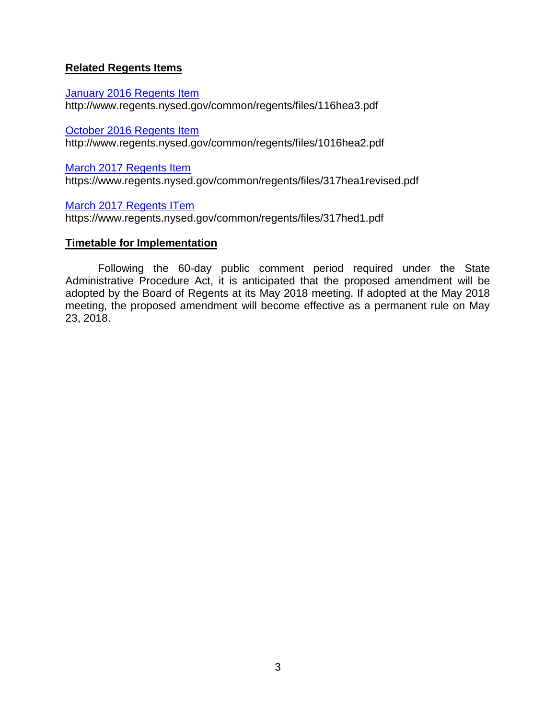#### **Related Regents Items**

[January 2016 Regents Item](http://www.regents.nysed.gov/common/regents/files/116hea3.pdf) http://www.regents.nysed.gov/common/regents/files/116hea3.pdf

[October 2016 Regents Item](http://www.regents.nysed.gov/common/regents/files/1016hea2.pdf)

http://www.regents.nysed.gov/common/regents/files/1016hea2.pdf

[March 2017 Regents Item](https://www.regents.nysed.gov/common/regents/files/317hea1revised.pdf)

https://www.regents.nysed.gov/common/regents/files/317hea1revised.pdf

[March 2017 Regents](https://www.regents.nysed.gov/common/regents/files/317hed1.pdf) ITem

https://www.regents.nysed.gov/common/regents/files/317hed1.pdf

#### **Timetable for Implementation**

Following the 60-day public comment period required under the State Administrative Procedure Act, it is anticipated that the proposed amendment will be adopted by the Board of Regents at its May 2018 meeting. If adopted at the May 2018 meeting, the proposed amendment will become effective as a permanent rule on May 23, 2018.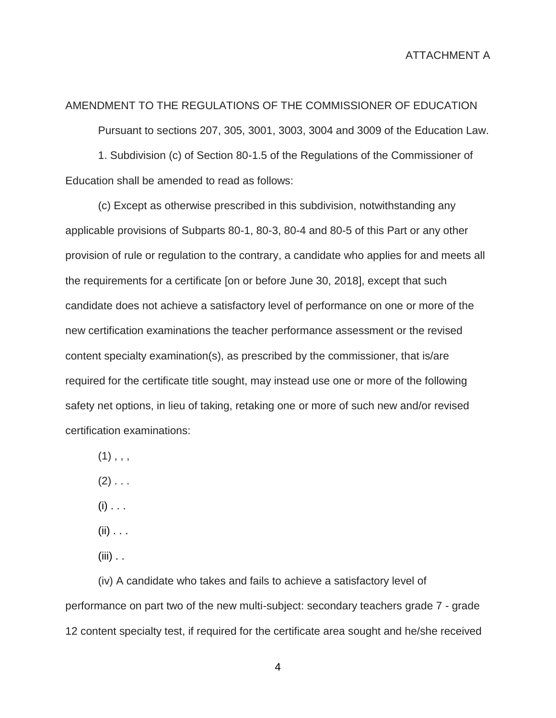#### AMENDMENT TO THE REGULATIONS OF THE COMMISSIONER OF EDUCATION

Pursuant to sections 207, 305, 3001, 3003, 3004 and 3009 of the Education Law.

1. Subdivision (c) of Section 80-1.5 of the Regulations of the Commissioner of Education shall be amended to read as follows:

(c) Except as otherwise prescribed in this subdivision, notwithstanding any applicable provisions of Subparts 80-1, 80-3, 80-4 and 80-5 of this Part or any other provision of rule or regulation to the contrary, a candidate who applies for and meets all the requirements for a certificate [on or before June 30, 2018], except that such candidate does not achieve a satisfactory level of performance on one or more of the new certification examinations the teacher performance assessment or the revised content specialty examination(s), as prescribed by the commissioner, that is/are required for the certificate title sought, may instead use one or more of the following safety net options, in lieu of taking, retaking one or more of such new and/or revised certification examinations:

 $(1)$ , , ,

 $(2)$  . . .

 $(i)$  . . .

 $(ii)$  . . .

 $(iii)$  . .

(iv) A candidate who takes and fails to achieve a satisfactory level of performance on part two of the new multi-subject: secondary teachers grade 7 - grade 12 content specialty test, if required for the certificate area sought and he/she received

4